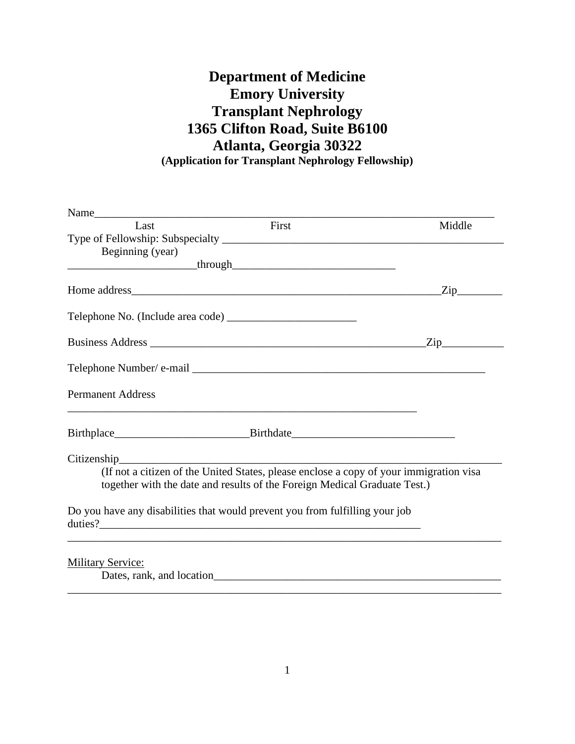## **Department of Medicine Emory University Transplant Nephrology 1365 Clifton Road, Suite B6100 Atlanta, Georgia 30322 (Application for Transplant Nephrology Fellowship)**

| Last                                                  | First                                                                                                                                                               | Middle           |
|-------------------------------------------------------|---------------------------------------------------------------------------------------------------------------------------------------------------------------------|------------------|
|                                                       |                                                                                                                                                                     |                  |
| Beginning (year)                                      |                                                                                                                                                                     |                  |
|                                                       |                                                                                                                                                                     |                  |
|                                                       |                                                                                                                                                                     |                  |
|                                                       |                                                                                                                                                                     |                  |
|                                                       |                                                                                                                                                                     | $\overline{Zip}$ |
|                                                       |                                                                                                                                                                     |                  |
| <b>Permanent Address</b>                              |                                                                                                                                                                     |                  |
|                                                       |                                                                                                                                                                     |                  |
|                                                       | Citizenship Citizenship                                                                                                                                             |                  |
|                                                       | (If not a citizen of the United States, please enclose a copy of your immigration visa<br>together with the date and results of the Foreign Medical Graduate Test.) |                  |
|                                                       | Do you have any disabilities that would prevent you from fulfilling your job                                                                                        |                  |
| <b>Military Service:</b><br>Dates, rank, and location |                                                                                                                                                                     |                  |

\_\_\_\_\_\_\_\_\_\_\_\_\_\_\_\_\_\_\_\_\_\_\_\_\_\_\_\_\_\_\_\_\_\_\_\_\_\_\_\_\_\_\_\_\_\_\_\_\_\_\_\_\_\_\_\_\_\_\_\_\_\_\_\_\_\_\_\_\_\_\_\_\_\_\_\_\_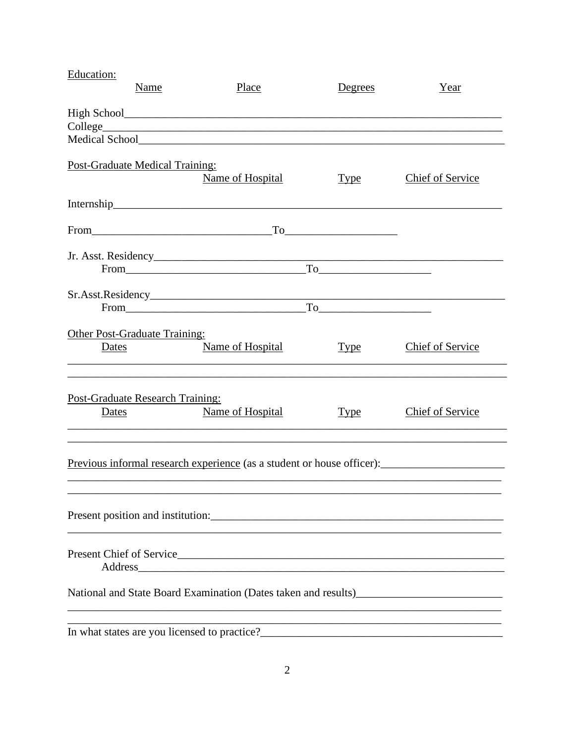| Education:                                                                    | Name | Place                                        | Degrees                                                                                                                                                                                                                                                                                                                                                                          | Year                                                                                                             |  |
|-------------------------------------------------------------------------------|------|----------------------------------------------|----------------------------------------------------------------------------------------------------------------------------------------------------------------------------------------------------------------------------------------------------------------------------------------------------------------------------------------------------------------------------------|------------------------------------------------------------------------------------------------------------------|--|
|                                                                               |      |                                              |                                                                                                                                                                                                                                                                                                                                                                                  |                                                                                                                  |  |
|                                                                               |      |                                              |                                                                                                                                                                                                                                                                                                                                                                                  |                                                                                                                  |  |
|                                                                               |      |                                              |                                                                                                                                                                                                                                                                                                                                                                                  |                                                                                                                  |  |
| Post-Graduate Medical Training:                                               |      | Name of Hospital                             | <u>Type</u>                                                                                                                                                                                                                                                                                                                                                                      | Chief of Service                                                                                                 |  |
|                                                                               |      |                                              |                                                                                                                                                                                                                                                                                                                                                                                  |                                                                                                                  |  |
|                                                                               |      |                                              |                                                                                                                                                                                                                                                                                                                                                                                  |                                                                                                                  |  |
|                                                                               |      |                                              |                                                                                                                                                                                                                                                                                                                                                                                  |                                                                                                                  |  |
|                                                                               |      |                                              |                                                                                                                                                                                                                                                                                                                                                                                  |                                                                                                                  |  |
|                                                                               |      |                                              |                                                                                                                                                                                                                                                                                                                                                                                  |                                                                                                                  |  |
|                                                                               |      | From                                         | $To \begin{tabular}{ c c c } \hline \rule{.4cm}{.4cm} \rule{.4cm}{.4cm} \rule{.4cm}{.4cm} \rule{.4cm}{.4cm} \rule{.4cm}{.4cm} \rule{.4cm}{.4cm} \rule{.4cm}{.4cm} \rule{.4cm}{.4cm} \rule{.4cm}{.4cm} \rule{.4cm}{.4cm} \rule{.4cm}{.4cm} \rule{.4cm}{.4cm} \rule{.4cm}{.4cm} \rule{.4cm}{.4cm} \rule{.4cm}{.4cm} \rule{.4cm}{.4cm} \rule{.4cm}{.4cm} \rule{.4cm}{.4cm} \rule{.$ |                                                                                                                  |  |
|                                                                               |      |                                              |                                                                                                                                                                                                                                                                                                                                                                                  |                                                                                                                  |  |
| <b>Other Post-Graduate Training:</b>                                          |      |                                              |                                                                                                                                                                                                                                                                                                                                                                                  |                                                                                                                  |  |
| <u>Dates</u>                                                                  |      | Name of Hospital                             | <u>Type</u>                                                                                                                                                                                                                                                                                                                                                                      | Chief of Service                                                                                                 |  |
| <b>Post-Graduate Research Training:</b>                                       |      |                                              |                                                                                                                                                                                                                                                                                                                                                                                  |                                                                                                                  |  |
| Dates                                                                         |      | Name of Hospital                             | <u>Type</u>                                                                                                                                                                                                                                                                                                                                                                      | Chief of Service                                                                                                 |  |
|                                                                               |      |                                              |                                                                                                                                                                                                                                                                                                                                                                                  |                                                                                                                  |  |
| <u>Previous informal research experience</u> (as a student or house officer): |      |                                              |                                                                                                                                                                                                                                                                                                                                                                                  |                                                                                                                  |  |
| Present position and institution:                                             |      |                                              |                                                                                                                                                                                                                                                                                                                                                                                  |                                                                                                                  |  |
|                                                                               |      |                                              |                                                                                                                                                                                                                                                                                                                                                                                  |                                                                                                                  |  |
|                                                                               |      | Address                                      |                                                                                                                                                                                                                                                                                                                                                                                  |                                                                                                                  |  |
| National and State Board Examination (Dates taken and results)                |      |                                              |                                                                                                                                                                                                                                                                                                                                                                                  |                                                                                                                  |  |
|                                                                               |      | In what states are you licensed to practice? |                                                                                                                                                                                                                                                                                                                                                                                  | and the control of the control of the control of the control of the control of the control of the control of the |  |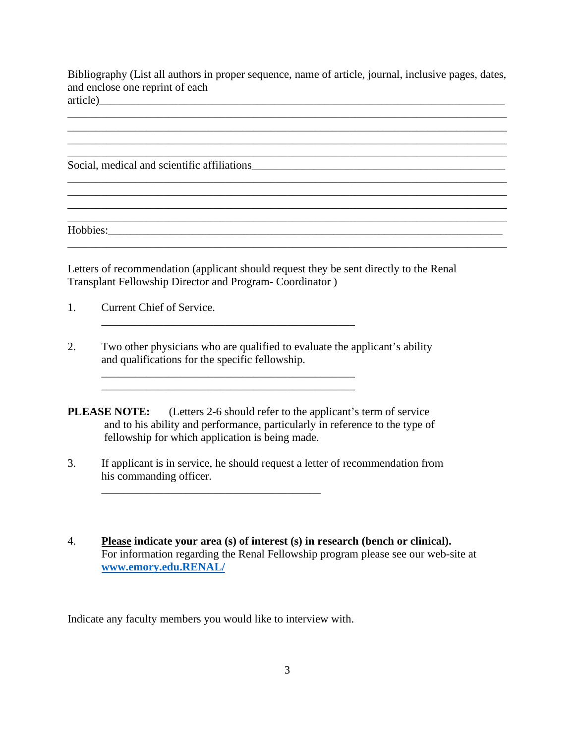Bibliography (List all authors in proper sequence, name of article, journal, inclusive pages, dates, and enclose one reprint of each article)\_\_\_\_\_\_\_\_\_\_\_\_\_\_\_\_\_\_\_\_\_\_\_\_\_\_\_\_\_\_\_\_\_\_\_\_\_\_\_\_\_\_\_\_\_\_\_\_\_\_\_\_\_\_\_\_\_\_\_\_\_\_\_\_\_\_\_\_\_\_\_\_

\_\_\_\_\_\_\_\_\_\_\_\_\_\_\_\_\_\_\_\_\_\_\_\_\_\_\_\_\_\_\_\_\_\_\_\_\_\_\_\_\_\_\_\_\_\_\_\_\_\_\_\_\_\_\_\_\_\_\_\_\_\_\_\_\_\_\_\_\_\_\_\_\_\_\_\_\_\_

\_\_\_\_\_\_\_\_\_\_\_\_\_\_\_\_\_\_\_\_\_\_\_\_\_\_\_\_\_\_\_\_\_\_\_\_\_\_\_\_\_\_\_\_\_\_\_\_\_\_\_\_\_\_\_\_\_\_\_\_\_\_\_\_\_\_\_\_\_\_\_\_\_\_\_\_\_\_

\_\_\_\_\_\_\_\_\_\_\_\_\_\_\_\_\_\_\_\_\_\_\_\_\_\_\_\_\_\_\_\_\_\_\_\_\_\_\_\_\_\_\_\_\_\_\_\_\_\_\_\_\_\_\_\_\_\_\_\_\_\_\_\_\_\_\_\_\_\_\_\_\_\_\_\_\_\_

 $\mathcal{L}_\mathcal{L} = \{ \mathcal{L}_\mathcal{L} = \{ \mathcal{L}_\mathcal{L} = \{ \mathcal{L}_\mathcal{L} = \{ \mathcal{L}_\mathcal{L} = \{ \mathcal{L}_\mathcal{L} = \{ \mathcal{L}_\mathcal{L} = \{ \mathcal{L}_\mathcal{L} = \{ \mathcal{L}_\mathcal{L} = \{ \mathcal{L}_\mathcal{L} = \{ \mathcal{L}_\mathcal{L} = \{ \mathcal{L}_\mathcal{L} = \{ \mathcal{L}_\mathcal{L} = \{ \mathcal{L}_\mathcal{L} = \{ \mathcal{L}_\mathcal{$ 

 $\mathcal{L}_\mathcal{L} = \mathcal{L}_\mathcal{L} = \mathcal{L}_\mathcal{L} = \mathcal{L}_\mathcal{L} = \mathcal{L}_\mathcal{L} = \mathcal{L}_\mathcal{L} = \mathcal{L}_\mathcal{L} = \mathcal{L}_\mathcal{L} = \mathcal{L}_\mathcal{L} = \mathcal{L}_\mathcal{L} = \mathcal{L}_\mathcal{L} = \mathcal{L}_\mathcal{L} = \mathcal{L}_\mathcal{L} = \mathcal{L}_\mathcal{L} = \mathcal{L}_\mathcal{L} = \mathcal{L}_\mathcal{L} = \mathcal{L}_\mathcal{L}$ 

\_\_\_\_\_\_\_\_\_\_\_\_\_\_\_\_\_\_\_\_\_\_\_\_\_\_\_\_\_\_\_\_\_\_\_\_\_\_\_\_\_\_\_\_\_\_\_\_\_\_\_\_\_\_\_\_\_\_\_\_\_\_\_\_\_\_\_\_\_\_\_\_\_\_\_\_\_\_

Social, medical and scientific affiliations

Hobbies:\_\_\_\_\_\_\_\_\_\_\_\_\_\_\_\_\_\_\_\_\_\_\_\_\_\_\_\_\_\_\_\_\_\_\_\_\_\_\_\_\_\_\_\_\_\_\_\_\_\_\_\_\_\_\_\_\_\_\_\_\_\_\_\_\_\_\_\_\_\_

Letters of recommendation (applicant should request they be sent directly to the Renal Transplant Fellowship Director and Program- Coordinator )

- 1. Current Chief of Service.
- 2. Two other physicians who are qualified to evaluate the applicant's ability and qualifications for the specific fellowship.

\_\_\_\_\_\_\_\_\_\_\_\_\_\_\_\_\_\_\_\_\_\_\_\_\_\_\_\_\_\_\_\_\_\_\_\_\_\_\_\_\_\_\_\_\_

 $\mathcal{L}_\text{max} = \mathcal{L}_\text{max} = \mathcal{L}_\text{max} = \mathcal{L}_\text{max} = \mathcal{L}_\text{max} = \mathcal{L}_\text{max} = \mathcal{L}_\text{max} = \mathcal{L}_\text{max} = \mathcal{L}_\text{max} = \mathcal{L}_\text{max} = \mathcal{L}_\text{max} = \mathcal{L}_\text{max} = \mathcal{L}_\text{max} = \mathcal{L}_\text{max} = \mathcal{L}_\text{max} = \mathcal{L}_\text{max} = \mathcal{L}_\text{max} = \mathcal{L}_\text{max} = \mathcal{$ 

**PLEASE NOTE:** (Letters 2-6 should refer to the applicant's term of service) and to his ability and performance, particularly in reference to the type of fellowship for which application is being made.

- 3. If applicant is in service, he should request a letter of recommendation from his commanding officer.
- 4. **Please indicate your area (s) of interest (s) in research (bench or clinical).** For information regarding the Renal Fellowship program please see our web-site at **[www.emory.edu.RENAL/](http://www.emory.edu.renal/)**

Indicate any faculty members you would like to interview with.

\_\_\_\_\_\_\_\_\_\_\_\_\_\_\_\_\_\_\_\_\_\_\_\_\_\_\_\_\_\_\_\_\_\_\_\_\_\_\_